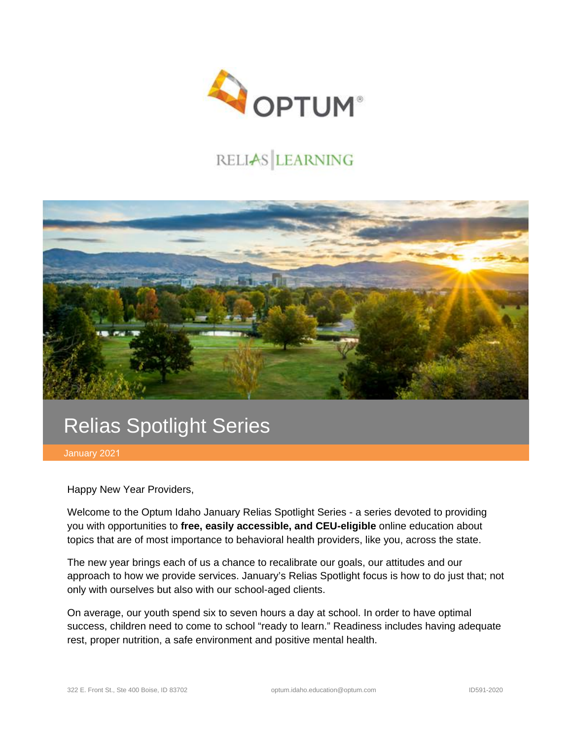

## RELIAS LEARNING



## Relias Spotlight Series

January 2021

Happy New Year Providers,

Welcome to the Optum Idaho January Relias Spotlight Series - a series devoted to providing you with opportunities to **free, easily accessible, and CEU-eligible** online education about topics that are of most importance to behavioral health providers, like you, across the state.

The new year brings each of us a chance to recalibrate our goals, our attitudes and our approach to how we provide services. January's Relias Spotlight focus is how to do just that; not only with ourselves but also with our school-aged clients.

On average, our youth spend six to seven hours a day at school. In order to have optimal success, children need to come to school "ready to learn." Readiness includes having adequate rest, proper nutrition, a safe environment and positive mental health.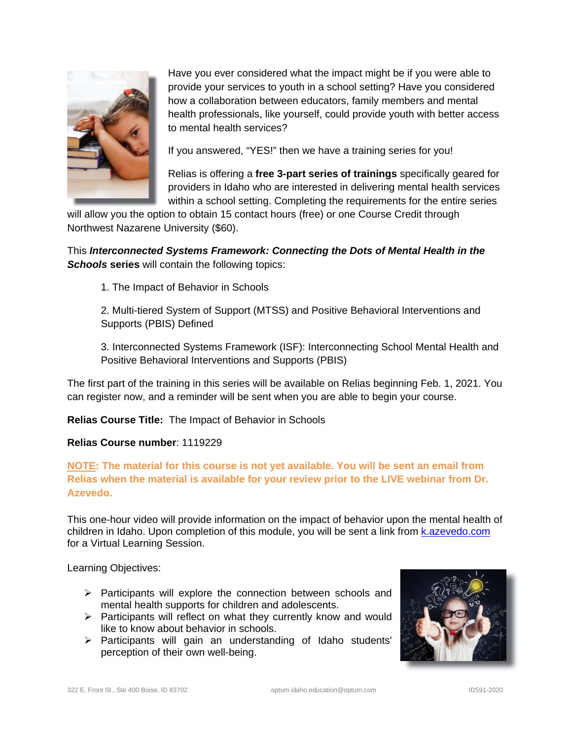

Have you ever considered what the impact might be if you were able to provide your services to youth in a school setting? Have you considered how a collaboration between educators, family members and mental health professionals, like yourself, could provide youth with better access to mental health services?

If you answered, "YES!" then we have a training series for you!

Relias is offering a **free 3-part series of trainings** specifically geared for providers in Idaho who are interested in delivering mental health services within a school setting. Completing the requirements for the entire series

will allow you the option to obtain 15 contact hours (free) or one Course Credit through Northwest Nazarene University (\$60).

This *Interconnected Systems Framework: Connecting the Dots of Mental Health in the Schools* **series** will contain the following topics:

1. The Impact of Behavior in Schools

2. Multi-tiered System of Support (MTSS) and Positive Behavioral Interventions and Supports (PBIS) Defined

3. Interconnected Systems Framework (ISF): Interconnecting School Mental Health and Positive Behavioral Interventions and Supports (PBIS)

The first part of the training in this series will be available on Relias beginning Feb. 1, 2021. You can register now, and a reminder will be sent when you are able to begin your course.

**Relias Course Title:** The Impact of Behavior in Schools

**Relias Course number**: 1119229

**NOTE: The material for this course is not yet available. You will be sent an email from Relias when the material is available for your review prior to the LIVE webinar from Dr. Azevedo.**

This one-hour video will provide information on the impact of behavior upon the mental health of children in Idaho. Upon completion of this module, you will be sent a link from [k.azevedo.com](mailto:k.azevedo.com) for a Virtual Learning Session.

Learning Objectives:

- $\triangleright$  Participants will explore the connection between schools and mental health supports for children and adolescents.
- $\triangleright$  Participants will reflect on what they currently know and would like to know about behavior in schools.
- $\triangleright$  Participants will gain an understanding of Idaho students' perception of their own well-being.